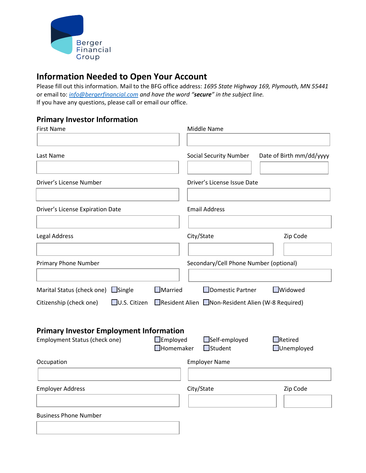

## **Information Needed to Open Your Account**

Please fill out this information. Mail to the BFG office address: *1695 State Highway 169, Plymouth, MN 55441* or email to: *[info@bergerfinancial.com](mailto:info@bergerfinancial.com) and have the word "secure" in the subject line.*  If you have any questions, please call or email our office.

## **Primary Investor Information**

| Middle Name                                                          |                                     |
|----------------------------------------------------------------------|-------------------------------------|
| <b>Social Security Number</b>                                        | Date of Birth mm/dd/yyyy            |
| Driver's License Issue Date                                          |                                     |
| <b>Email Address</b>                                                 |                                     |
| City/State                                                           | Zip Code                            |
| Secondary/Cell Phone Number (optional)                               |                                     |
| Domestic Partner<br>Resident Alien Non-Resident Alien (W-8 Required) | □Widowed                            |
| <b>Primary Investor Employment Information</b>                       |                                     |
| $\Box$ Homemaker<br>$\Box$ Student                                   | $\Box$ Retired<br>$\Box$ Unemployed |
| <b>Employer Name</b>                                                 |                                     |
| City/State                                                           | Zip Code                            |
|                                                                      |                                     |
|                                                                      | $\Box$ Employed<br>□Self-employed   |